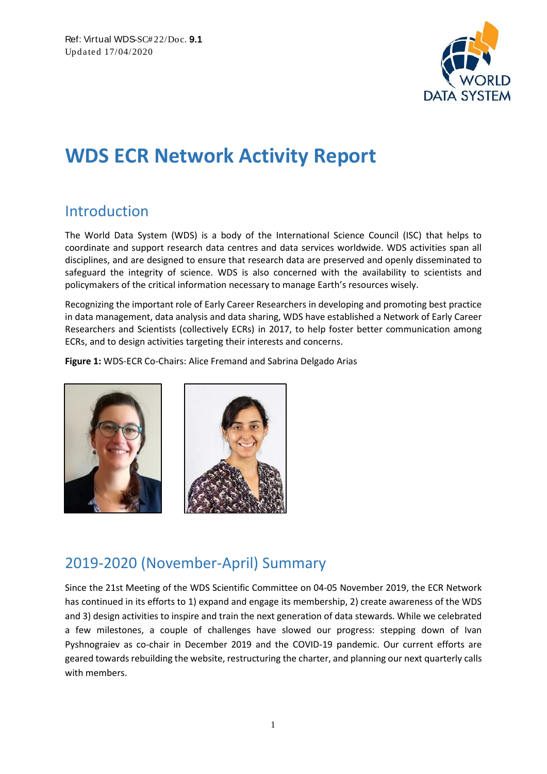

# **WDS ECR Network Activity Report**

### Introduction

The World Data System (WDS) is a body of the International Science Council (ISC) that helps to coordinate and support research data centres and data services worldwide. WDS activities span all disciplines, and are designed to ensure that research data are preserved and openly disseminated to safeguard the integrity of science. WDS is also concerned with the availability to scientists and policymakers of the critical information necessary to manage Earth's resources wisely.

Recognizing the important role of Early Career Researchers in developing and promoting best practice in data management, data analysis and data sharing, WDS have established a Network of Early Career Researchers and Scientists (collectively ECRs) in 2017, to help foster better communication among ECRs, and to design activities targeting their interests and concerns.

**Figure 1:** WDS-ECR Co-Chairs: Alice Fremand and Sabrina Delgado Arias



## 2019-2020 (November-April) Summary

Since the 21st Meeting of the WDS Scientific Committee on 04-05 November 2019, the ECR Network has continued in its efforts to 1) expand and engage its membership, 2) create awareness of the WDS and 3) design activities to inspire and train the next generation of data stewards. While we celebrated a few milestones, a couple of challenges have slowed our progress: stepping down of Ivan Pyshnograiev as co-chair in December 2019 and the COVID-19 pandemic. Our current efforts are geared towards rebuilding the website, restructuring the charter, and planning our next quarterly calls with members.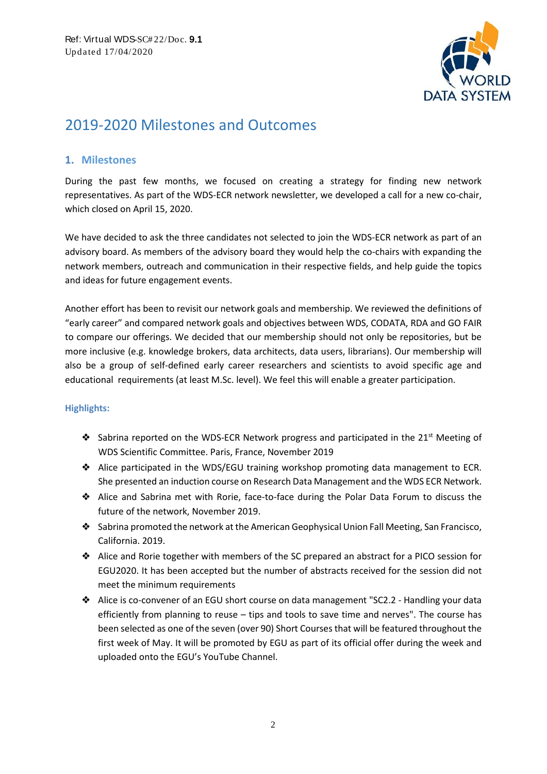

### 2019-2020 Milestones and Outcomes

#### **1. Milestones**

During the past few months, we focused on creating a strategy for finding new network representatives. As part of the WDS-ECR network newsletter, we developed a call for a new co-chair, which closed on April 15, 2020.

We have decided to ask the three candidates not selected to join the WDS-ECR network as part of an advisory board. As members of the advisory board they would help the co-chairs with expanding the network members, outreach and communication in their respective fields, and help guide the topics and ideas for future engagement events.

Another effort has been to revisit our network goals and membership. We reviewed the definitions of "early career" and compared network goals and objectives between WDS, CODATA, RDA and GO FAIR to compare our offerings. We decided that our membership should not only be repositories, but be more inclusive (e.g. knowledge brokers, data architects, data users, librarians). Our membership will also be a group of self-defined early career researchers and scientists to avoid specific age and educational requirements (at least M.Sc. level). We feel this will enable a greater participation.

#### **Highlights:**

- $\bullet$  Sabrina reported on the WDS-ECR Network progress and participated in the 21st Meeting of WDS Scientific Committee. Paris, France, November 2019
- ❖ Alice participated in the WDS/EGU training workshop promoting data management to ECR. She presented an induction course on Research Data Management and the WDS ECR Network.
- ❖ Alice and Sabrina met with Rorie, face-to-face during the Polar Data Forum to discuss the future of the network, November 2019.
- ❖ Sabrina promoted the network at the American Geophysical Union Fall Meeting, San Francisco, California. 2019.
- ❖ Alice and Rorie together with members of the SC prepared an abstract for a PICO session for EGU2020. It has been accepted but the number of abstracts received for the session did not meet the minimum requirements
- ❖ Alice is co-convener of an EGU short course on data management "SC2.2 Handling your data efficiently from planning to reuse – tips and tools to save time and nerves". The course has been selected as one of the seven (over 90) Short Courses that will be featured throughout the first week of May. It will be promoted by EGU as part of its official offer during the week and uploaded onto the EGU's YouTube Channel.